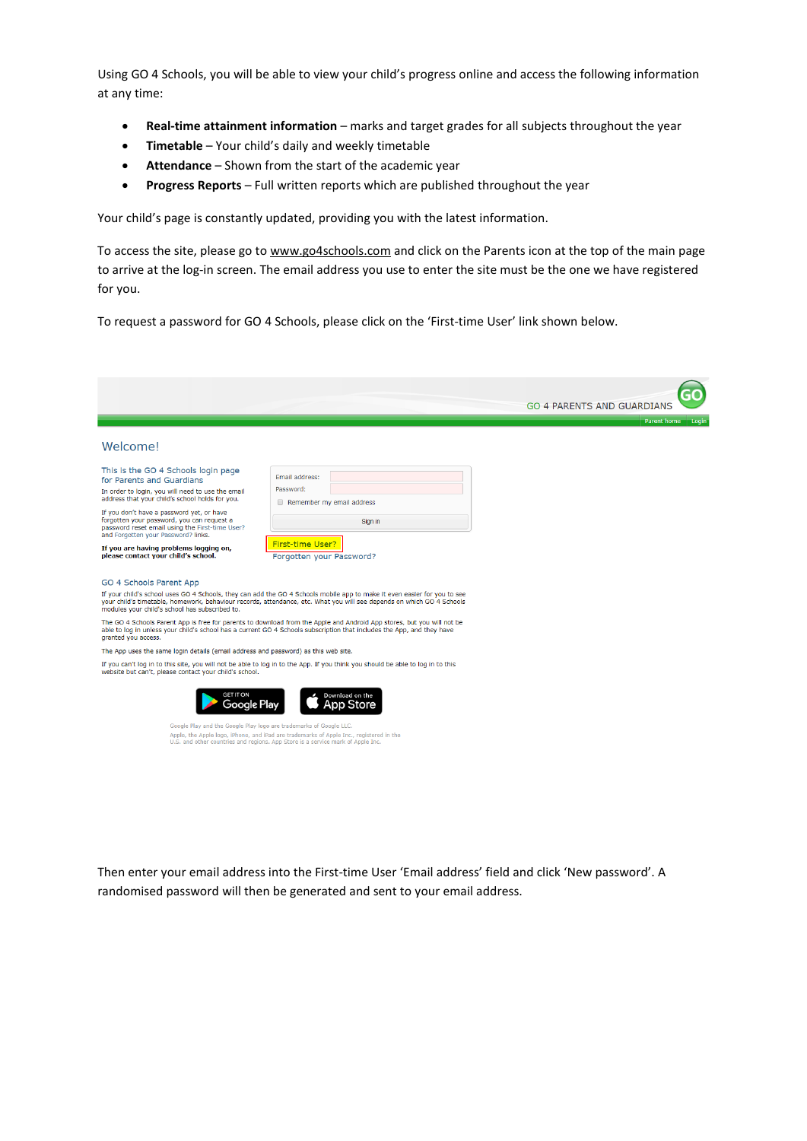Using GO 4 Schools, you will be able to view your child's progress online and access the following information at any time:

- **Real-time attainment information** marks and target grades for all subjects throughout the year
- **Timetable** Your child's daily and weekly timetable
- **Attendance** Shown from the start of the academic year
- **Progress Reports** Full written reports which are published throughout the year

Your child's page is constantly updated, providing you with the latest information.

To access the site, please go t[o www.go4schools.com](http://www.go4schools.com/) and click on the Parents icon at the top of the main page to arrive at the log-in screen. The email address you use to enter the site must be the one we have registered for you.

To request a password for GO 4 Schools, please click on the 'First-time User' link shown below.

|                                                                                                                                                                                   |                                                                                                                                                                                                                                                   | <b>GO 4 PARENTS AND GUARDIANS</b> |
|-----------------------------------------------------------------------------------------------------------------------------------------------------------------------------------|---------------------------------------------------------------------------------------------------------------------------------------------------------------------------------------------------------------------------------------------------|-----------------------------------|
|                                                                                                                                                                                   |                                                                                                                                                                                                                                                   | Parent home<br>Login              |
| Welcome!                                                                                                                                                                          |                                                                                                                                                                                                                                                   |                                   |
| This is the GO 4 Schools login page<br>for Parents and Guardians<br>In order to login, you will need to use the email<br>address that your child's school holds for you.          | Email address:<br>Password:<br>Remember my email address                                                                                                                                                                                          |                                   |
| If you don't have a password yet, or have<br>forgotten your password, you can request a<br>password reset email using the First-time User?<br>and Forgotten your Password? links. | Sign in                                                                                                                                                                                                                                           |                                   |
| If you are having problems logging on,<br>please contact your child's school.                                                                                                     | First-time User?<br>Forgotten your Password?                                                                                                                                                                                                      |                                   |
| GO 4 Schools Parent App                                                                                                                                                           |                                                                                                                                                                                                                                                   |                                   |
| modules your child's school has subscribed to.                                                                                                                                    | If your child's school uses GO 4 Schools, they can add the GO 4 Schools mobile app to make it even easier for you to see<br>your child's timetable, homework, behaviour records, attendance, etc. What you will see depends on which GO 4 Schools |                                   |
| granted you access.                                                                                                                                                               | The GO 4 Schools Parent App is free for parents to download from the Apple and Android App stores, but you will not be<br>able to log in unless your child's school has a current GO 4 Schools subscription that includes the App, and they have  |                                   |
| The App uses the same login details (email address and password) as this web site.                                                                                                |                                                                                                                                                                                                                                                   |                                   |
| website but can't, please contact your child's school.                                                                                                                            | If you can't log in to this site, you will not be able to log in to the App. If you think you should be able to log in to this                                                                                                                    |                                   |
| <b>GET IT ON</b><br>Google Play                                                                                                                                                   | Download on the<br>App Store                                                                                                                                                                                                                      |                                   |
| Google Play and the Google Play logo are trademarks of Google LLC.                                                                                                                | Apple, the Apple logo, iPhone, and iPad are trademarks of Apple Inc., registered in the<br>U.S. and other countries and regions. App Store is a service mark of Apple Inc.                                                                        |                                   |

Then enter your email address into the First-time User 'Email address' field and click 'New password'. A randomised password will then be generated and sent to your email address.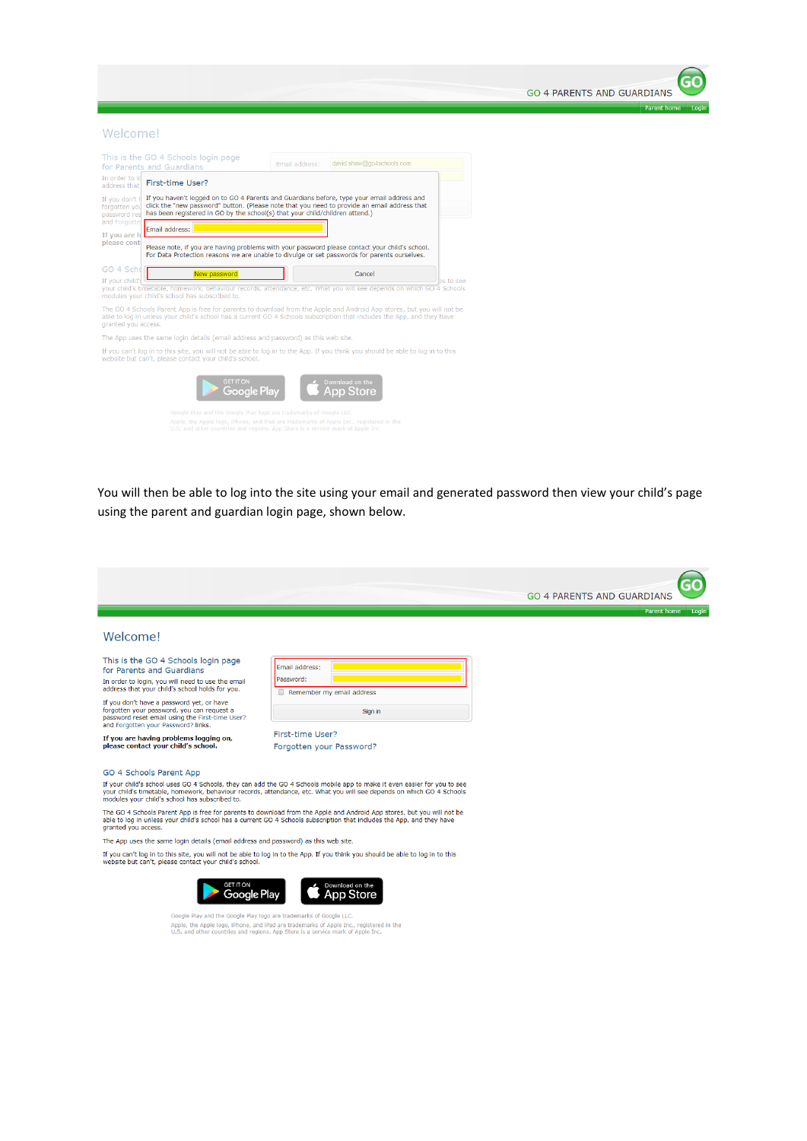

#### Welcome!

|                                                                                                                                                                                                               | This is the GO 4 Schools login page<br>for Parents and Guardians                                                                                                                                                                                                           | Email address: | david.shaw@go4schools.com    |           |
|---------------------------------------------------------------------------------------------------------------------------------------------------------------------------------------------------------------|----------------------------------------------------------------------------------------------------------------------------------------------------------------------------------------------------------------------------------------------------------------------------|----------------|------------------------------|-----------|
| In order to lo<br>address that                                                                                                                                                                                | First-time User?                                                                                                                                                                                                                                                           |                |                              |           |
| If you don't h<br>forgotten you<br>password res                                                                                                                                                               | If you haven't logged on to GO 4 Parents and Guardians before, type your email address and<br>click the "new password" button. (Please note that you need to provide an email address that<br>has been registered in GO by the school(s) that your child/children attend.) |                |                              |           |
| and Forgottel<br>Fmail address:<br>If you are h                                                                                                                                                               |                                                                                                                                                                                                                                                                            |                |                              |           |
| please cont<br>Please note, if you are having problems with your password please contact your child's school.<br>For Data Protection reasons we are unable to divulge or set passwords for parents ourselves. |                                                                                                                                                                                                                                                                            |                |                              |           |
| GO 4 Schd<br>If your child's                                                                                                                                                                                  | New password                                                                                                                                                                                                                                                               |                | Cancel                       |           |
|                                                                                                                                                                                                               | your child's timetable, homework, behaviour records, attendance, etc. What you will see depends on which GO 4 Schools<br>modules your child's school has subscribed to.                                                                                                    |                |                              | bu to see |
| granted you access.                                                                                                                                                                                           | The GO 4 Schools Parent App is free for parents to download from the Apple and Android App stores, but you will not be<br>able to log in unless your child's school has a current GO 4 Schools subscription that includes the App, and they have                           |                |                              |           |
|                                                                                                                                                                                                               | The App uses the same login details (email address and password) as this web site.                                                                                                                                                                                         |                |                              |           |
|                                                                                                                                                                                                               | If you can't log in to this site, you will not be able to log in to the App. If you think you should be able to log in to this<br>website but can't, please contact your child's school.                                                                                   |                |                              |           |
|                                                                                                                                                                                                               | <b>GET IT ON</b><br>Google Play                                                                                                                                                                                                                                            |                | Download on the<br>App Store |           |
|                                                                                                                                                                                                               | Google Play and the Google Play logo are trademarks of Google LLC.                                                                                                                                                                                                         |                |                              |           |
|                                                                                                                                                                                                               | Apple, the Apple logo, iPhone, and iPad are trademarks of Apple Inc., registered in the<br>U.S. and other countries and regions. App Store is a service mark of Apple Inc.                                                                                                 |                |                              |           |

You will then be able to log into the site using your email and generated password then view your child's page using the parent and guardian login page, shown below.

|                                                                                                                                                                                                                                                                                                                                                               |                                                                                                                                                                                                                                                   | <b>GO 4 PARENTS AND GUARDIANS</b> |
|---------------------------------------------------------------------------------------------------------------------------------------------------------------------------------------------------------------------------------------------------------------------------------------------------------------------------------------------------------------|---------------------------------------------------------------------------------------------------------------------------------------------------------------------------------------------------------------------------------------------------|-----------------------------------|
|                                                                                                                                                                                                                                                                                                                                                               |                                                                                                                                                                                                                                                   | <b>Parent home</b><br>Login       |
| Welcome!                                                                                                                                                                                                                                                                                                                                                      |                                                                                                                                                                                                                                                   |                                   |
| This is the GO 4 Schools login page<br>for Parents and Guardians<br>In order to login, you will need to use the email<br>address that your child's school holds for you.<br>If you don't have a password yet, or have<br>forgotten your password, you can request a<br>password reset email using the First-time User?<br>and Forgotten your Password? links. | Email address:<br>Password:<br>Remember my email address                                                                                                                                                                                          |                                   |
|                                                                                                                                                                                                                                                                                                                                                               | Sign in                                                                                                                                                                                                                                           |                                   |
| If you are having problems logging on,<br>please contact your child's school.                                                                                                                                                                                                                                                                                 | First-time User?<br>Forgotten your Password?                                                                                                                                                                                                      |                                   |
| GO 4 Schools Parent App                                                                                                                                                                                                                                                                                                                                       |                                                                                                                                                                                                                                                   |                                   |
| modules your child's school has subscribed to.                                                                                                                                                                                                                                                                                                                | If your child's school uses GO 4 Schools, they can add the GO 4 Schools mobile app to make it even easier for you to see<br>your child's timetable, homework, behaviour records, attendance, etc. What you will see depends on which GO 4 Schools |                                   |
| granted you access.                                                                                                                                                                                                                                                                                                                                           | The GO 4 Schools Parent App is free for parents to download from the Apple and Android App stores, but you will not be<br>able to log in unless your child's school has a current GO 4 Schools subscription that includes the App, and they have  |                                   |
| The App uses the same login details (email address and password) as this web site.                                                                                                                                                                                                                                                                            |                                                                                                                                                                                                                                                   |                                   |
| website but can't, please contact your child's school.                                                                                                                                                                                                                                                                                                        | If you can't log in to this site, you will not be able to log in to the App. If you think you should be able to log in to this                                                                                                                    |                                   |
| <b>GET IT ON</b><br>Google Play                                                                                                                                                                                                                                                                                                                               | Download on the<br>pp Store                                                                                                                                                                                                                       |                                   |
| Google Play and the Google Play logo are trademarks of Google LLC.                                                                                                                                                                                                                                                                                            | Apple, the Apple logo, iPhone, and iPad are trademarks of Apple Inc., registered in the<br>U.S. and other countries and regions. App Store is a service mark of Apple Inc.                                                                        |                                   |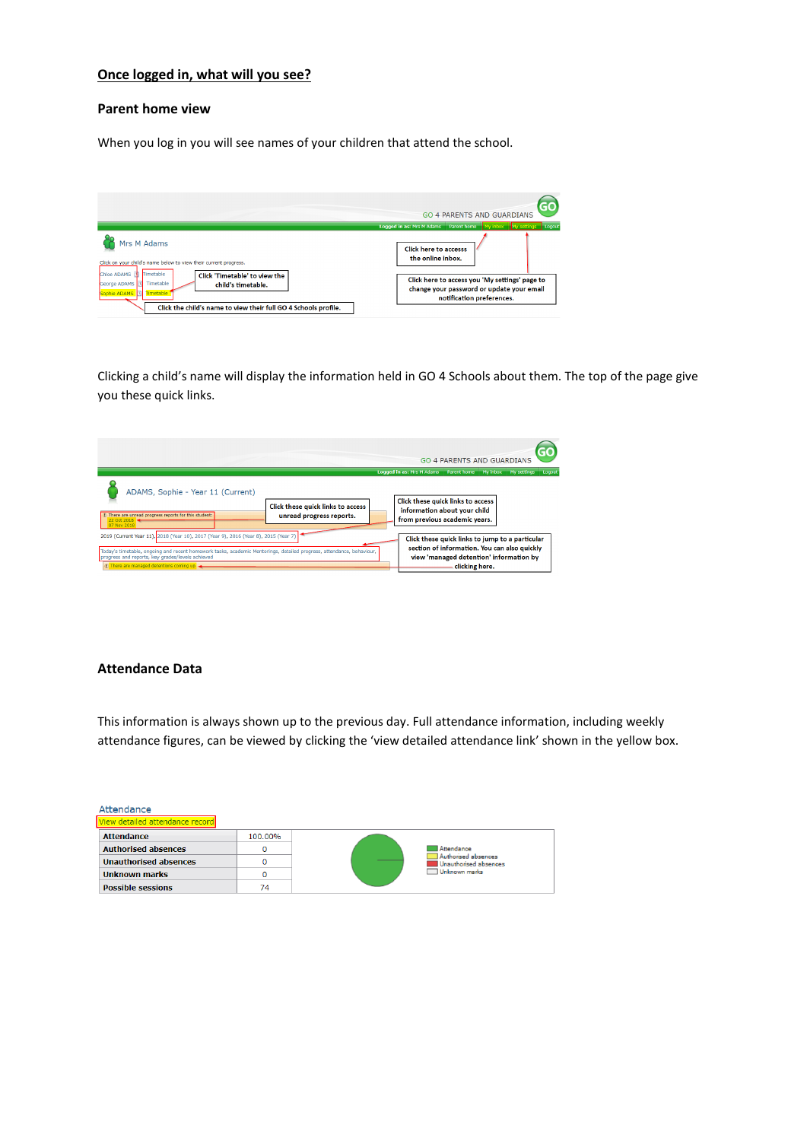# **Once logged in, what will you see?**

### **Parent home view**

When you log in you will see names of your children that attend the school.



Clicking a child's name will display the information held in GO 4 Schools about them. The top of the page give you these quick links.

|                                                                                                                                                                                                                                                                                                               | <b>GO 4 PARENTS AND GUARDIANS</b>                                                                                                                            |
|---------------------------------------------------------------------------------------------------------------------------------------------------------------------------------------------------------------------------------------------------------------------------------------------------------------|--------------------------------------------------------------------------------------------------------------------------------------------------------------|
|                                                                                                                                                                                                                                                                                                               | Logged in as: Mrs M Adams    Parent home    My inbox<br>My settings<br>Loqout                                                                                |
| ADAMS, Sophie - Year 11 (Current)<br>Click these quick links to access<br>1 There are unread progress reports for this student:<br>unread progress reports.<br>22 Oct 2018 -<br>07 Nov 2018                                                                                                                   | Click these quick links to access<br>information about your child<br>from previous academic years.                                                           |
| 2019 (Current Year 11), 2018 (Year 10), 2017 (Year 9), 2016 (Year 8), 2015 (Year 7)<br>Today's timetable, ongoing and recent homework tasks, academic Mentorings, detailed progress, attendance, behaviour,<br>progress and reports, key grades/levels achieved<br>(1) There are managed detentions coming up | Click these quick links to jump to a particular<br>section of information. You can also quickly<br>view 'managed detention' information by<br>clicking here. |

### **Attendance Data**

This information is always shown up to the previous day. Full attendance information, including weekly attendance figures, can be viewed by clicking the 'view detailed attendance link' shown in the yellow box.

| Attendance                      |         |                                              |
|---------------------------------|---------|----------------------------------------------|
| View detailed attendance record |         |                                              |
| <b>Attendance</b>               | 100.00% |                                              |
| <b>Authorised absences</b>      |         | Attendance                                   |
| <b>Unauthorised absences</b>    |         | Authorised absences<br>Unauthorised absences |
| Unknown marks                   |         | Unknown marks                                |
| <b>Possible sessions</b>        | 74      |                                              |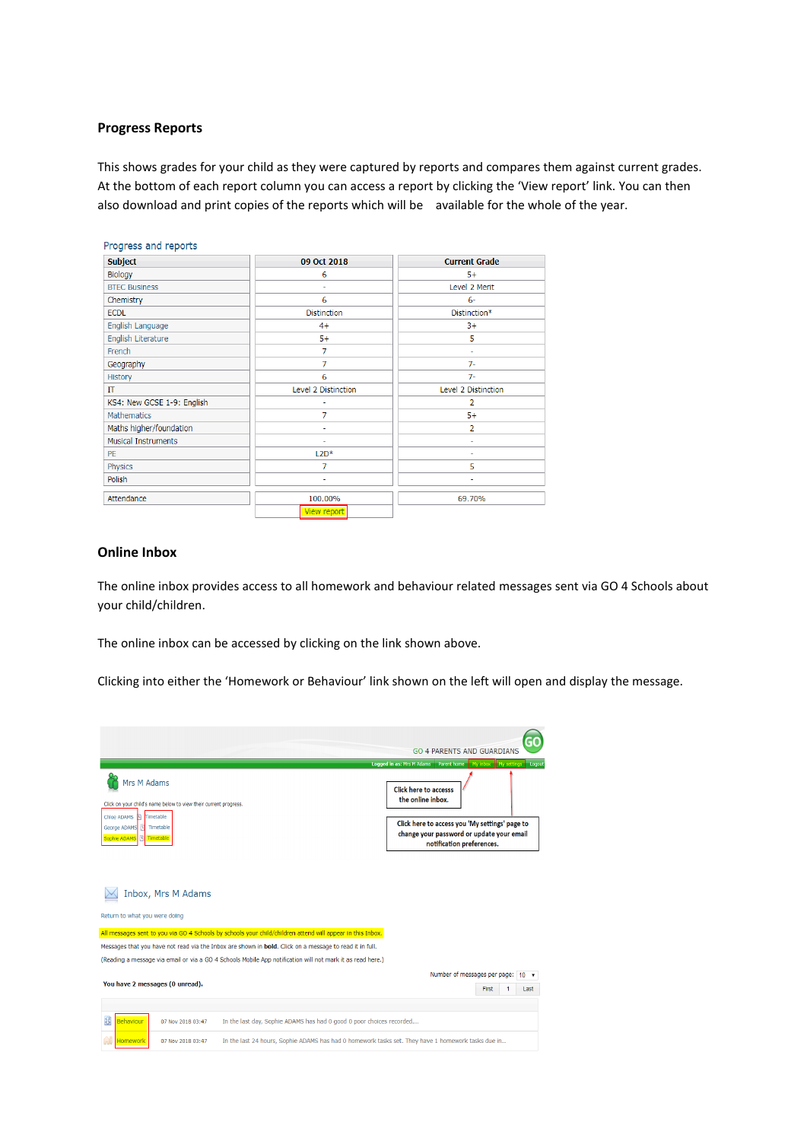# **Progress Reports**

This shows grades for your child as they were captured by reports and compares them against current grades. At the bottom of each report column you can access a report by clicking the 'View report' link. You can then also download and print copies of the reports which will be available for the whole of the year.

| <b>Subject</b>             | 09 Oct 2018         | <b>Current Grade</b> |  |
|----------------------------|---------------------|----------------------|--|
| Biology                    | 6                   | $5+$                 |  |
| <b>BTEC Business</b>       | ٠                   | Level 2 Merit        |  |
| Chemistry                  | 6                   | $6-$                 |  |
| <b>ECDL</b>                | <b>Distinction</b>  | Distinction*         |  |
| English Language           | $4+$                | $3+$                 |  |
| English Literature         | $5+$                | 5                    |  |
| French                     | $\overline{7}$      | ٠                    |  |
| Geography                  | 7                   | $7-$                 |  |
| History                    | 6                   | $7-$                 |  |
| IΤ                         | Level 2 Distinction | Level 2 Distinction  |  |
| KS4: New GCSE 1-9: English | ٠                   | 2                    |  |
| Mathematics                | 7                   | $5+$                 |  |
| Maths higher/foundation    |                     | $\overline{2}$       |  |
| <b>Musical Instruments</b> |                     | $\overline{a}$       |  |
| <b>PE</b>                  | $L2D*$              | ٠                    |  |
| Physics                    | 7                   | 5                    |  |
| Polish                     |                     |                      |  |
| Attendance                 | 100.00%             | 69.70%               |  |
|                            | View report         |                      |  |

## **Online Inbox**

The online inbox provides access to all homework and behaviour related messages sent via GO 4 Schools about your child/children.

The online inbox can be accessed by clicking on the link shown above.

Clicking into either the 'Homework or Behaviour' link shown on the left will open and display the message.

|                                                                                                                                                                                              | <b>GO 4 PARENTS AND GUARDIANS</b>                                                                                                                |
|----------------------------------------------------------------------------------------------------------------------------------------------------------------------------------------------|--------------------------------------------------------------------------------------------------------------------------------------------------|
|                                                                                                                                                                                              | Logged in as: Mrs M Adams    Parent home    My inbox    My settings<br>Logout                                                                    |
| Mrs M Adams<br>Click on your child's name below to view their current progress.<br>Timetable<br>Chloe ADAMS<br>m<br>George ADAMS<br>Timetable<br>$\vert v \vert$<br>Sophie ADAMS   Timetable | <b>Click here to accesss</b><br>the online inbox.<br>Click here to access you 'My settings' page to<br>change your password or update your email |
| Inbox, Mrs M Adams<br>Return to what you were doing                                                                                                                                          | notification preferences.                                                                                                                        |
| All messages sent to you via GO 4 Schools by schools your child/children attend will appear in this Inbox.                                                                                   |                                                                                                                                                  |
| Messages that you have not read via the Inbox are shown in bold. Click on a message to read it in full.                                                                                      |                                                                                                                                                  |
| (Reading a message via email or via a GO 4 Schools Mobile App notification will not mark it as read here.)                                                                                   |                                                                                                                                                  |
|                                                                                                                                                                                              | Number of messages per page: 10                                                                                                                  |
| You have 2 messages (0 unread).                                                                                                                                                              | First<br>Last                                                                                                                                    |
|                                                                                                                                                                                              |                                                                                                                                                  |
| Behaviour<br>In the last day, Sophie ADAMS has had 0 good 0 poor choices recorded<br>07 Nov 2018 03:47                                                                                       |                                                                                                                                                  |
| In the last 24 hours, Sophie ADAMS has had 0 homework tasks set. They have 1 homework tasks due in<br>07 Nov 2018 03:47<br><b>Homework</b>                                                   |                                                                                                                                                  |